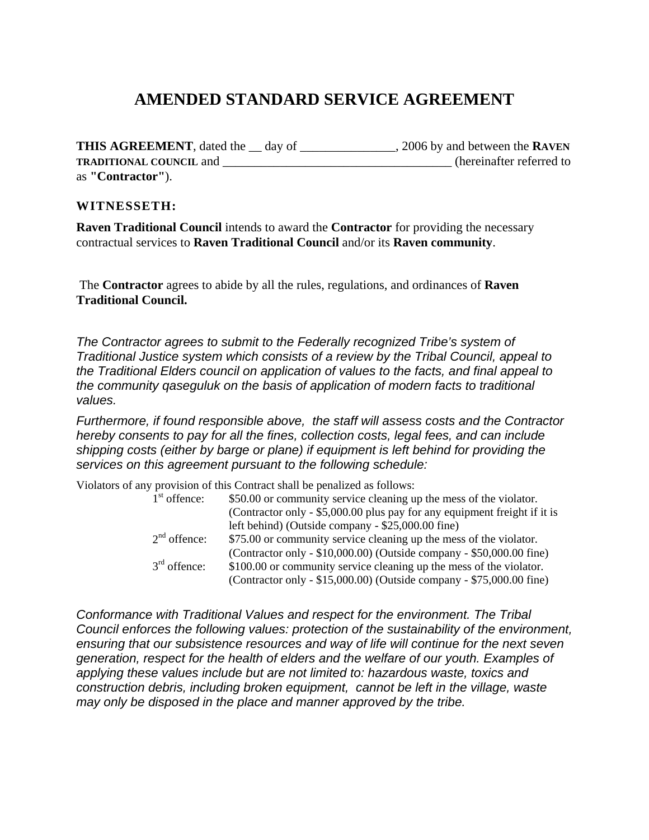# **AMENDED STANDARD SERVICE AGREEMENT**

**THIS AGREEMENT**, dated the \_\_ day of \_\_\_\_\_\_\_\_\_\_\_\_\_\_\_, 2006 by and between the **RAVEN TRADITIONAL COUNCIL** and \_\_\_\_\_\_\_\_\_\_\_\_\_\_\_\_\_\_\_\_\_\_\_\_\_\_\_\_\_\_\_\_\_\_\_\_ (hereinafter referred to as **"Contractor"**).

#### **WITNESSETH:**

**Raven Traditional Council** intends to award the **Contractor** for providing the necessary contractual services to **Raven Traditional Council** and/or its **Raven community**.

 The **Contractor** agrees to abide by all the rules, regulations, and ordinances of **Raven Traditional Council.** 

*The Contractor agrees to submit to the Federally recognized Tribe's system of Traditional Justice system which consists of a review by the Tribal Council, appeal to the Traditional Elders council on application of values to the facts, and final appeal to the community qaseguluk on the basis of application of modern facts to traditional values.* 

*Furthermore, if found responsible above, the staff will assess costs and the Contractor hereby consents to pay for all the fines, collection costs, legal fees, and can include shipping costs (either by barge or plane) if equipment is left behind for providing the services on this agreement pursuant to the following schedule:* 

Violators of any provision of this Contract shall be penalized as follows:

| $1st$ offence: | \$50.00 or community service cleaning up the mess of the violator.        |
|----------------|---------------------------------------------------------------------------|
|                | (Contractor only - \$5,000.00 plus pay for any equipment freight if it is |
|                | left behind) (Outside company - \$25,000.00 fine)                         |
| $2nd$ offence: | \$75.00 or community service cleaning up the mess of the violator.        |
|                | (Contractor only - \$10,000.00) (Outside company - \$50,000.00 fine)      |
| $3rd$ offence: | \$100.00 or community service cleaning up the mess of the violator.       |
|                | (Contractor only - \$15,000.00) (Outside company - \$75,000.00 fine)      |
|                |                                                                           |

*Conformance with Traditional Values and respect for the environment. The Tribal Council enforces the following values: protection of the sustainability of the environment, ensuring that our subsistence resources and way of life will continue for the next seven generation, respect for the health of elders and the welfare of our youth. Examples of applying these values include but are not limited to: hazardous waste, toxics and construction debris, including broken equipment, cannot be left in the village, waste may only be disposed in the place and manner approved by the tribe.*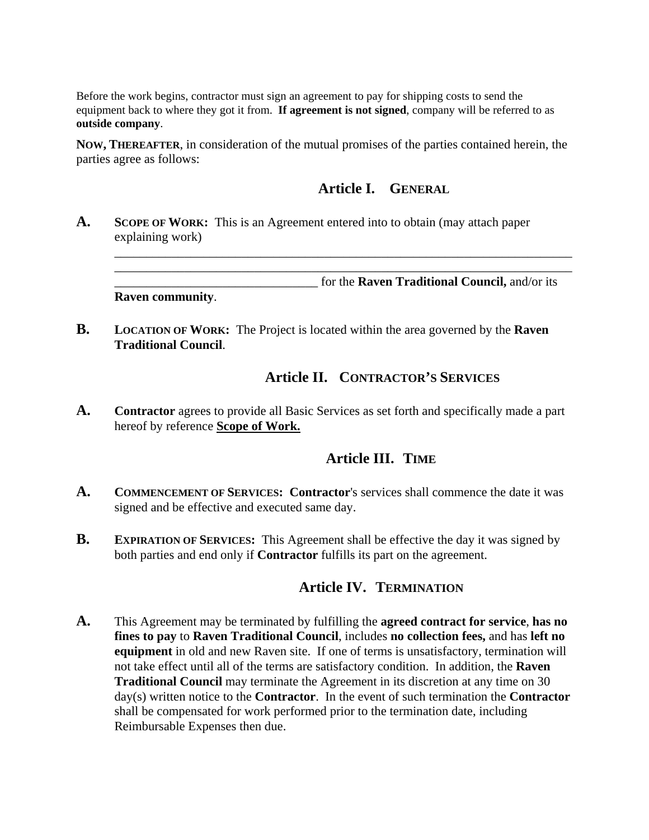Before the work begins, contractor must sign an agreement to pay for shipping costs to send the equipment back to where they got it from. **If agreement is not signed**, company will be referred to as **outside company**.

**NOW, THEREAFTER**, in consideration of the mutual promises of the parties contained herein, the parties agree as follows:

## **Article I. GENERAL**

**A. SCOPE OF WORK:** This is an Agreement entered into to obtain (may attach paper explaining work)

\_\_\_\_\_\_\_\_\_\_\_\_\_\_\_\_\_\_\_\_\_\_\_\_\_\_\_\_\_\_\_\_\_\_\_\_\_\_\_\_\_\_\_\_\_\_\_\_\_\_\_\_\_\_\_\_\_\_\_\_\_\_\_\_\_\_\_\_\_\_\_\_ \_\_\_\_\_\_\_\_\_\_\_\_\_\_\_\_\_\_\_\_\_\_\_\_\_\_\_\_\_\_\_\_ for the **Raven Traditional Council,** and/or its **Raven community**.

\_\_\_\_\_\_\_\_\_\_\_\_\_\_\_\_\_\_\_\_\_\_\_\_\_\_\_\_\_\_\_\_\_\_\_\_\_\_\_\_\_\_\_\_\_\_\_\_\_\_\_\_\_\_\_\_\_\_\_\_\_\_\_\_\_\_\_\_\_\_\_\_

**B. LOCATION OF WORK:** The Project is located within the area governed by the **Raven Traditional Council**.

## **Article II. CONTRACTOR'S SERVICES**

**A. Contractor** agrees to provide all Basic Services as set forth and specifically made a part hereof by reference **Scope of Work.**

#### **Article III. TIME**

- **A. COMMENCEMENT OF SERVICES: Contractor**'s services shall commence the date it was signed and be effective and executed same day.
- **B. EXPIRATION OF SERVICES:** This Agreement shall be effective the day it was signed by both parties and end only if **Contractor** fulfills its part on the agreement.

#### **Article IV. TERMINATION**

**A.** This Agreement may be terminated by fulfilling the **agreed contract for service**, **has no fines to pay** to **Raven Traditional Council**, includes **no collection fees,** and has **left no equipment** in old and new Raven site. If one of terms is unsatisfactory, termination will not take effect until all of the terms are satisfactory condition. In addition, the **Raven Traditional Council** may terminate the Agreement in its discretion at any time on 30 day(s) written notice to the **Contractor**. In the event of such termination the **Contractor** shall be compensated for work performed prior to the termination date, including Reimbursable Expenses then due.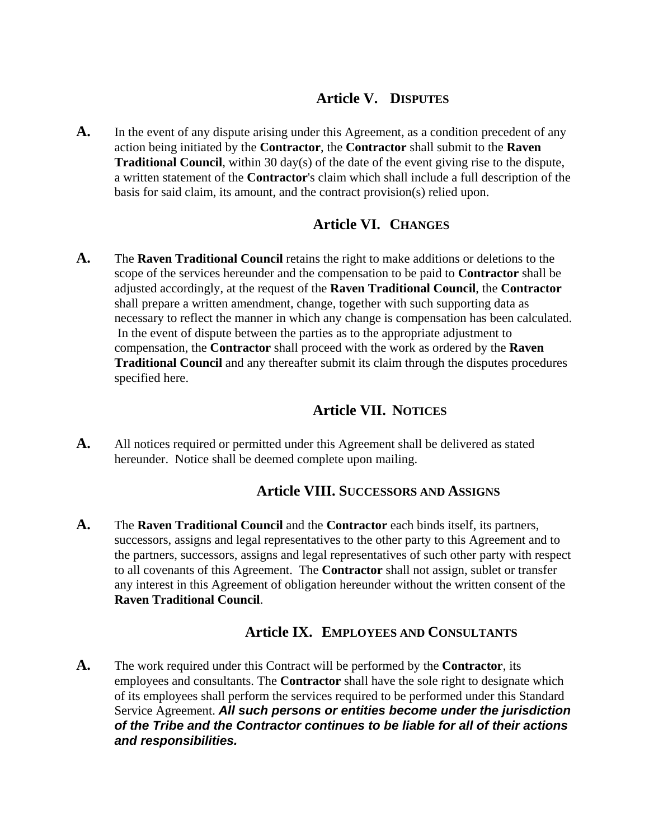## **Article V. DISPUTES**

A. In the event of any dispute arising under this Agreement, as a condition precedent of any action being initiated by the **Contractor**, the **Contractor** shall submit to the **Raven Traditional Council**, within 30 day(s) of the date of the event giving rise to the dispute, a written statement of the **Contractor**'s claim which shall include a full description of the basis for said claim, its amount, and the contract provision(s) relied upon.

## **Article VI. CHANGES**

**A.** The **Raven Traditional Council** retains the right to make additions or deletions to the scope of the services hereunder and the compensation to be paid to **Contractor** shall be adjusted accordingly, at the request of the **Raven Traditional Council**, the **Contractor** shall prepare a written amendment, change, together with such supporting data as necessary to reflect the manner in which any change is compensation has been calculated. In the event of dispute between the parties as to the appropriate adjustment to compensation, the **Contractor** shall proceed with the work as ordered by the **Raven Traditional Council** and any thereafter submit its claim through the disputes procedures specified here.

## **Article VII. NOTICES**

**A.** All notices required or permitted under this Agreement shall be delivered as stated hereunder. Notice shall be deemed complete upon mailing.

#### **Article VIII. SUCCESSORS AND ASSIGNS**

**A.** The **Raven Traditional Council** and the **Contractor** each binds itself, its partners, successors, assigns and legal representatives to the other party to this Agreement and to the partners, successors, assigns and legal representatives of such other party with respect to all covenants of this Agreement. The **Contractor** shall not assign, sublet or transfer any interest in this Agreement of obligation hereunder without the written consent of the **Raven Traditional Council**.

#### **Article IX. EMPLOYEES AND CONSULTANTS**

**A.** The work required under this Contract will be performed by the **Contractor**, its employees and consultants. The **Contractor** shall have the sole right to designate which of its employees shall perform the services required to be performed under this Standard Service Agreement. *All such persons or entities become under the jurisdiction of the Tribe and the Contractor continues to be liable for all of their actions and responsibilities.*